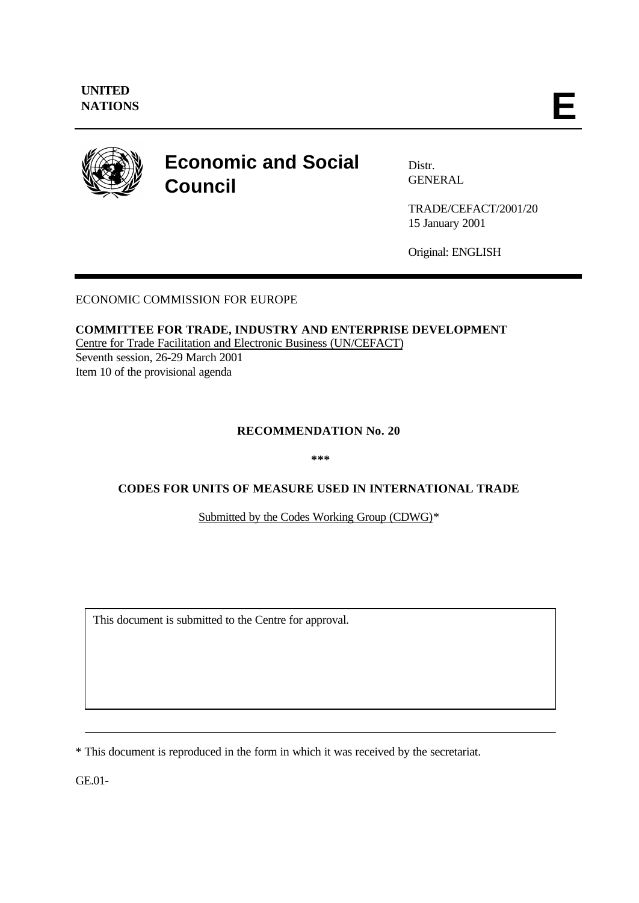

# **Economic and Social Council**

Distr. GENERAL

TRADE/CEFACT/2001/20 15 January 2001

Original: ENGLISH

ECONOMIC COMMISSION FOR EUROPE

**COMMITTEE FOR TRADE, INDUSTRY AND ENTERPRISE DEVELOPMENT** Centre for Trade Facilitation and Electronic Business (UN/CEFACT) Seventh session, 26-29 March 2001 Item 10 of the provisional agenda

# **RECOMMENDATION No. 20**

 **\*\*\***

# **CODES FOR UNITS OF MEASURE USED IN INTERNATIONAL TRADE**

Submitted by the Codes Working Group (CDWG)\*

This document is submitted to the Centre for approval.

\* This document is reproduced in the form in which it was received by the secretariat.

GE.01-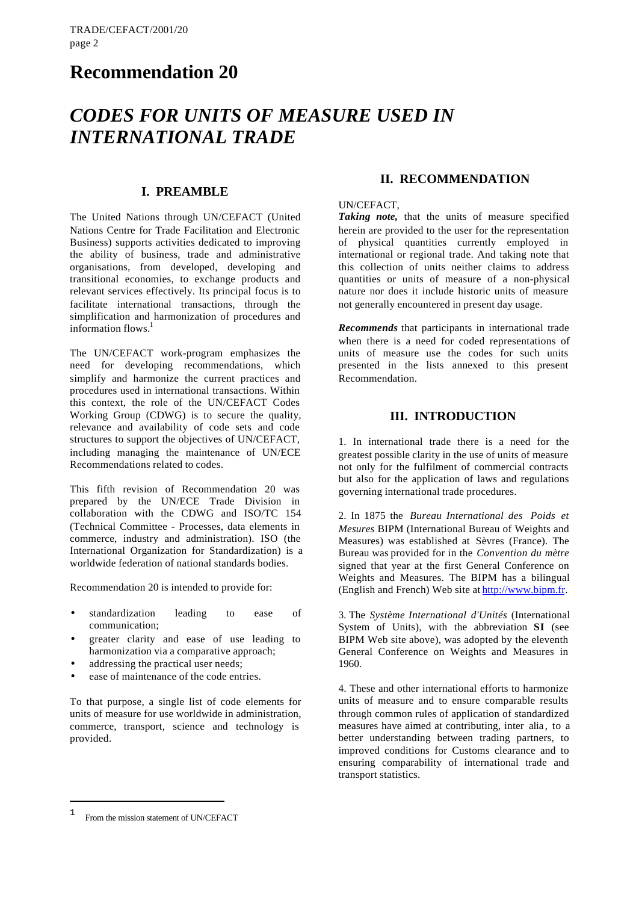# **Recommendation 20**

# *CODES FOR UNITS OF MEASURE USED IN INTERNATIONAL TRADE*

# **I. PREAMBLE**

The United Nations through UN/CEFACT (United Nations Centre for Trade Facilitation and Electronic Business) supports activities dedicated to improving the ability of business, trade and administrative organisations, from developed, developing and transitional economies, to exchange products and relevant services effectively. Its principal focus is to facilitate international transactions, through the simplification and harmonization of procedures and information flows.<sup>1</sup>

The UN/CEFACT work-program emphasizes the need for developing recommendations, which simplify and harmonize the current practices and procedures used in international transactions. Within this context, the role of the UN/CEFACT Codes Working Group (CDWG) is to secure the quality, relevance and availability of code sets and code structures to support the objectives of UN/CEFACT, including managing the maintenance of UN/ECE Recommendations related to codes.

This fifth revision of Recommendation 20 was prepared by the UN/ECE Trade Division in collaboration with the CDWG and ISO/TC 154 (Technical Committee - Processes, data elements in commerce, industry and administration). ISO (the International Organization for Standardization) is a worldwide federation of national standards bodies.

Recommendation 20 is intended to provide for:

- standardization leading to ease of communication;
- greater clarity and ease of use leading to harmonization via a comparative approach;
- addressing the practical user needs;
- ease of maintenance of the code entries.

To that purpose, a single list of code elements for units of measure for use worldwide in administration, commerce, transport, science and technology is provided.

# **II. RECOMMENDATION**

### UN/CEFACT,

*Taking note,* that the units of measure specified herein are provided to the user for the representation of physical quantities currently employed in international or regional trade. And taking note that this collection of units neither claims to address quantities or units of measure of a non-physical nature nor does it include historic units of measure not generally encountered in present day usage.

*Recommends* that participants in international trade when there is a need for coded representations of units of measure use the codes for such units presented in the lists annexed to this present Recommendation.

# **III. INTRODUCTION**

1. In international trade there is a need for the greatest possible clarity in the use of units of measure not only for the fulfilment of commercial contracts but also for the application of laws and regulations governing international trade procedures.

2. In 1875 the *Bureau International des Poids et Mesures* BIPM (International Bureau of Weights and Measures) was established at Sèvres (France). The Bureau was provided for in the *Convention du mètre* signed that year at the first General Conference on Weights and Measures. The BIPM has a bilingual (English and French) Web site at http://www.bipm.fr.

3. The *Système International d'Unités* (International System of Units), with the abbreviation **SI** (see BIPM Web site above), was adopted by the eleventh General Conference on Weights and Measures in 1960.

4. These and other international efforts to harmonize units of measure and to ensure comparable results through common rules of application of standardized measures have aimed at contributing, inter alia , to a better understanding between trading partners, to improved conditions for Customs clearance and to ensuring comparability of international trade and transport statistics.

 $\overline{a}$ 

<sup>1</sup> From the mission statement of UN/CEFACT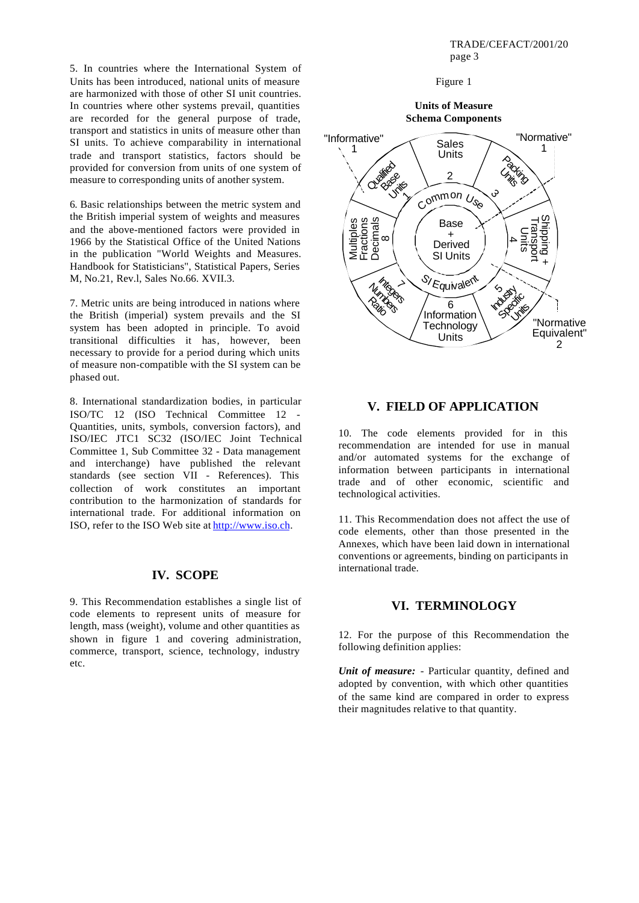5. In countries where the International System of Units has been introduced, national units of measure are harmonized with those of other SI unit countries. In countries where other systems prevail, quantities are recorded for the general purpose of trade, transport and statistics in units of measure other than SI units. To achieve comparability in international trade and transport statistics, factors should be provided for conversion from units of one system of measure to corresponding units of another system.

6. Basic relationships between the metric system and the British imperial system of weights and measures and the above-mentioned factors were provided in 1966 by the Statistical Office of the United Nations in the publication "World Weights and Measures. Handbook for Statisticians", Statistical Papers, Series M, No.21, Rev.l, Sales No.66. XVII.3.

7. Metric units are being introduced in nations where the British (imperial) system prevails and the SI system has been adopted in principle. To avoid transitional difficulties it has, however, been necessary to provide for a period during which units of measure non-compatible with the SI system can be phased out.

8. International standardization bodies, in particular ISO/TC 12 (ISO Technical Committee 12 - Quantities, units, symbols, conversion factors), and ISO/IEC JTC1 SC32 (ISO/IEC Joint Technical Committee 1, Sub Committee 32 - Data management and interchange) have published the relevant standards (see section VII - References). This collection of work constitutes an important contribution to the harmonization of standards for international trade. For additional information on ISO, refer to the ISO Web site at http://www.iso.ch.

# **IV. SCOPE**

9. This Recommendation establishes a single list of code elements to represent units of measure for length, mass (weight), volume and other quantities as shown in figure 1 and covering administration, commerce, transport, science, technology, industry etc.

#### Figure 1

**Units of Measure Schema Components**



# **V. FIELD OF APPLICATION**

10. The code elements provided for in this recommendation are intended for use in manual and/or automated systems for the exchange of information between participants in international trade and of other economic, scientific and technological activities.

11. This Recommendation does not affect the use of code elements, other than those presented in the Annexes, which have been laid down in international conventions or agreements, binding on participants in international trade.

## **VI. TERMINOLOGY**

12. For the purpose of this Recommendation the following definition applies:

*Unit of measure:* - Particular quantity, defined and adopted by convention, with which other quantities of the same kind are compared in order to express their magnitudes relative to that quantity.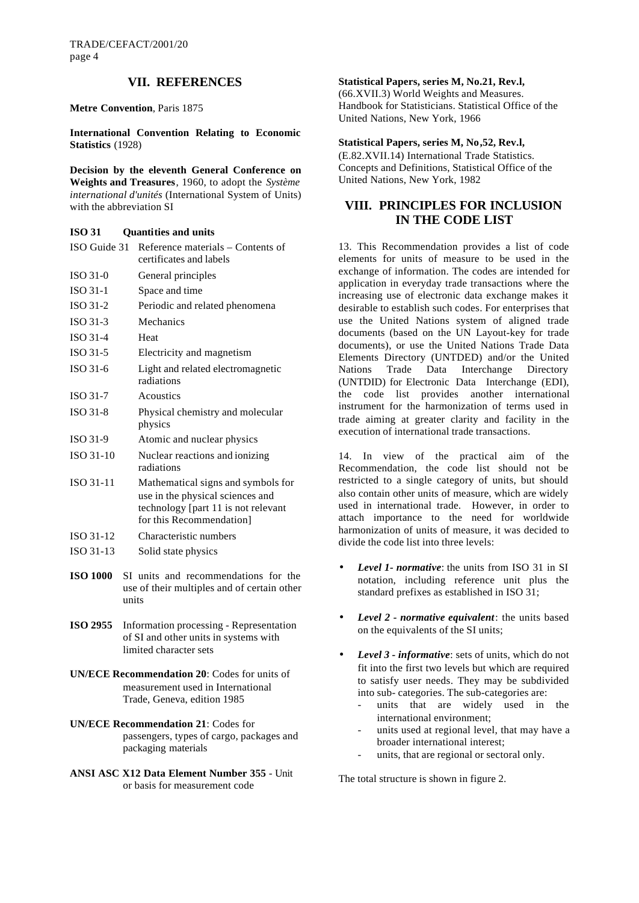## **VII. REFERENCES**

#### **Metre Convention**, Paris 1875

**International Convention Relating to Economic Statistics** (1928)

**Decision by the eleventh General Conference on Weights and Treasures**, 1960, to adopt the *Système international d'unités* (International System of Units) with the abbreviation SI

### **ISO 31 Quantities and units**

| ISO Guide 31    | Reference materials - Contents of<br>certificates and labels                                                                              |
|-----------------|-------------------------------------------------------------------------------------------------------------------------------------------|
| ISO 31-0        | General principles                                                                                                                        |
| <b>ISO 31-1</b> | Space and time                                                                                                                            |
| ISO 31-2        | Periodic and related phenomena                                                                                                            |
| ISO 31-3        | Mechanics                                                                                                                                 |
| <b>ISO 31-4</b> | Heat                                                                                                                                      |
| ISO 31-5        | Electricity and magnetism                                                                                                                 |
| ISO 31-6        | Light and related electromagnetic<br>radiations                                                                                           |
| ISO 31-7        | Acoustics                                                                                                                                 |
| <b>ISO 31-8</b> | Physical chemistry and molecular<br>physics                                                                                               |
| ISO 31-9        | Atomic and nuclear physics                                                                                                                |
| ISO 31-10       | Nuclear reactions and ionizing<br>radiations                                                                                              |
| ISO 31-11       | Mathematical signs and symbols for<br>use in the physical sciences and<br>technology [part 11 is not relevant<br>for this Recommendation] |
| ISO 31-12       | Characteristic numbers                                                                                                                    |
| ISO 31-13       | Solid state physics                                                                                                                       |
| <b>ISO 1000</b> | SI units and recommendations for the<br>use of their multiples and of certain other<br>units                                              |
| <b>ISO 2955</b> | Information processing - Representation<br>of SI and other units in systems with<br>limited character sets                                |
|                 |                                                                                                                                           |

- **UN/ECE Recommendation 20**: Codes for units of measurement used in International Trade, Geneva, edition 1985
- **UN/ECE Recommendation 21**: Codes for passengers, types of cargo, packages and packaging materials
- **ANSI ASC X12 Data Element Number 355** Unit or basis for measurement code

## **Statistical Papers, series M, No.21, Rev.l,**

(66.XVII.3) World Weights and Measures. Handbook for Statisticians. Statistical Office of the United Nations, New York, 1966

#### **Statistical Papers, series M, No,52, Rev.l,**

(E.82.XVII.14) International Trade Statistics. Concepts and Definitions, Statistical Office of the United Nations, New York, 1982

# **VIII. PRINCIPLES FOR INCLUSION IN THE CODE LIST**

13. This Recommendation provides a list of code elements for units of measure to be used in the exchange of information. The codes are intended for application in everyday trade transactions where the increasing use of electronic data exchange makes it desirable to establish such codes. For enterprises that use the United Nations system of aligned trade documents (based on the UN Layout-key for trade documents), or use the United Nations Trade Data Elements Directory (UNTDED) and/or the United Nations Trade Data Interchange Directory (UNTDID) for Electronic Data Interchange (EDI), the code list provides another international instrument for the harmonization of terms used in trade aiming at greater clarity and facility in the execution of international trade transactions.

14. In view of the practical aim of the Recommendation, the code list should not be restricted to a single category of units, but should also contain other units of measure, which are widely used in international trade. However, in order to attach importance to the need for worldwide harmonization of units of measure, it was decided to divide the code list into three levels:

- *Level 1- normative*: the units from ISO 31 in SI notation, including reference unit plus the standard prefixes as established in ISO 31;
- *Level 2 normative equivalent*: the units based on the equivalents of the SI units;
- *Level 3 informative*: sets of units, which do not fit into the first two levels but which are required to satisfy user needs. They may be subdivided into sub- categories. The sub-categories are:
	- units that are widely used in the international environment;
	- units used at regional level, that may have a broader international interest;
	- units, that are regional or sectoral only.

The total structure is shown in figure 2.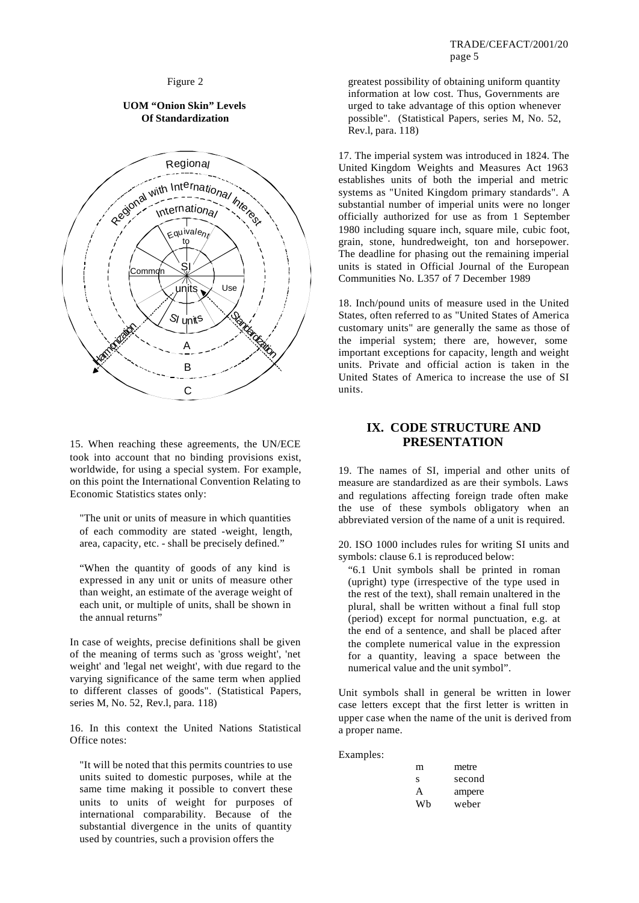## Figure 2

## **UOM "Onion Skin" Levels Of Standardization**



15. When reaching these agreements, the UN/ECE took into account that no binding provisions exist, worldwide, for using a special system. For example, on this point the International Convention Relating to Economic Statistics states only:

"The unit or units of measure in which quantities of each commodity are stated -weight, length, area, capacity, etc. - shall be precisely defined."

"When the quantity of goods of any kind is expressed in any unit or units of measure other than weight, an estimate of the average weight of each unit, or multiple of units, shall be shown in the annual returns"

In case of weights, precise definitions shall be given of the meaning of terms such as 'gross weight', 'net weight' and 'legal net weight', with due regard to the varying significance of the same term when applied to different classes of goods". (Statistical Papers, series M, No. 52, Rev.l, para. 118)

16. In this context the United Nations Statistical Office notes:

"It will be noted that this permits countries to use units suited to domestic purposes, while at the same time making it possible to convert these units to units of weight for purposes of international comparability. Because of the substantial divergence in the units of quantity used by countries, such a provision offers the

greatest possibility of obtaining uniform quantity information at low cost. Thus, Governments are urged to take advantage of this option whenever possible". (Statistical Papers, series M, No. 52, Rev.l, para. 118)

17. The imperial system was introduced in 1824. The United Kingdom Weights and Measures Act 1963 establishes units of both the imperial and metric systems as "United Kingdom primary standards". A substantial number of imperial units were no longer officially authorized for use as from 1 September 1980 including square inch, square mile, cubic foot, grain, stone, hundredweight, ton and horsepower. The deadline for phasing out the remaining imperial units is stated in Official Journal of the European Communities No. L357 of 7 December 1989

18. Inch/pound units of measure used in the United States, often referred to as "United States of America customary units" are generally the same as those of the imperial system; there are, however, some important exceptions for capacity, length and weight units. Private and official action is taken in the United States of America to increase the use of SI units.

# **IX. CODE STRUCTURE AND PRESENTATION**

19. The names of SI, imperial and other units of measure are standardized as are their symbols. Laws and regulations affecting foreign trade often make the use of these symbols obligatory when an abbreviated version of the name of a unit is required.

20. ISO 1000 includes rules for writing SI units and symbols: clause 6.1 is reproduced below:

"6.1 Unit symbols shall be printed in roman (upright) type (irrespective of the type used in the rest of the text), shall remain unaltered in the plural, shall be written without a final full stop (period) except for normal punctuation, e.g. at the end of a sentence, and shall be placed after the complete numerical value in the expression for a quantity, leaving a space between the numerical value and the unit symbol".

Unit symbols shall in general be written in lower case letters except that the first letter is written in upper case when the name of the unit is derived from a proper name.

Examples:

| m  | metre  |
|----|--------|
| s  | second |
| A  | ampere |
| Wh | weber  |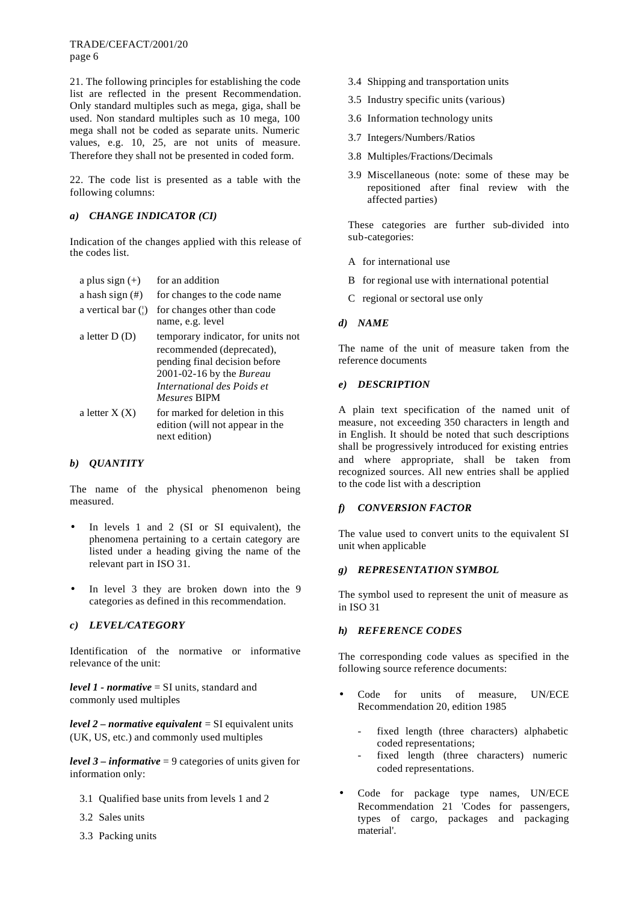21. The following principles for establishing the code list are reflected in the present Recommendation. Only standard multiples such as mega, giga, shall be used. Non standard multiples such as 10 mega, 100 mega shall not be coded as separate units. Numeric values, e.g. 10, 25, are not units of measure. Therefore they shall not be presented in coded form.

22. The code list is presented as a table with the following columns:

## *a) CHANGE INDICATOR (CI)*

Indication of the changes applied with this release of the codes list.

| a plus sign $(+)$  | for an addition                                                                                                                                                                   |
|--------------------|-----------------------------------------------------------------------------------------------------------------------------------------------------------------------------------|
| a hash sign $(\#)$ | for changes to the code name                                                                                                                                                      |
| a vertical bar $($ | for changes other than code<br>name, e.g. level                                                                                                                                   |
| a letter $D(D)$    | temporary indicator, for units not<br>recommended (deprecated),<br>pending final decision before<br>2001-02-16 by the Bureau<br>International des Poids et<br><i>Mesures</i> BIPM |
| a letter $X(X)$    | for marked for deletion in this<br>edition (will not appear in the<br>next edition)                                                                                               |

# *b) QUANTITY*

The name of the physical phenomenon being measured.

- In levels 1 and 2 (SI or SI equivalent), the phenomena pertaining to a certain category are listed under a heading giving the name of the relevant part in ISO 31.
- In level 3 they are broken down into the 9 categories as defined in this recommendation.

# *c) LEVEL/CATEGORY*

Identification of the normative or informative relevance of the unit:

*level 1 - normative* = SI units, standard and commonly used multiples

*level 2 – normative equivalent* = SI equivalent units (UK, US, etc.) and commonly used multiples

*level 3 – informative* = 9 categories of units given for information only:

- 3.1 Qualified base units from levels 1 and 2
- 3.2 Sales units
- 3.3 Packing units
- 3.4 Shipping and transportation units
- 3.5 Industry specific units (various)
- 3.6 Information technology units
- 3.7 Integers/Numbers/Ratios
- 3.8 Multiples/Fractions/Decimals
- 3.9 Miscellaneous (note: some of these may be repositioned after final review with the affected parties)

These categories are further sub-divided into sub-categories:

- A for international use
- B for regional use with international potential
- C regional or sectoral use only

# *d) NAME*

The name of the unit of measure taken from the reference documents

## *e) DESCRIPTION*

A plain text specification of the named unit of measure, not exceeding 350 characters in length and in English. It should be noted that such descriptions shall be progressively introduced for existing entries and where appropriate, shall be taken from recognized sources. All new entries shall be applied to the code list with a description

## *f) CONVERSION FACTOR*

The value used to convert units to the equivalent SI unit when applicable

## *g) REPRESENTATION SYMBOL*

The symbol used to represent the unit of measure as in ISO 31

# *h) REFERENCE CODES*

The corresponding code values as specified in the following source reference documents:

- Code for units of measure, UN/ECE Recommendation 20, edition 1985
	- fixed length (three characters) alphabetic coded representations;
	- fixed length (three characters) numeric coded representations.
- Code for package type names, UN/ECE Recommendation 21 'Codes for passengers, types of cargo, packages and packaging material'.